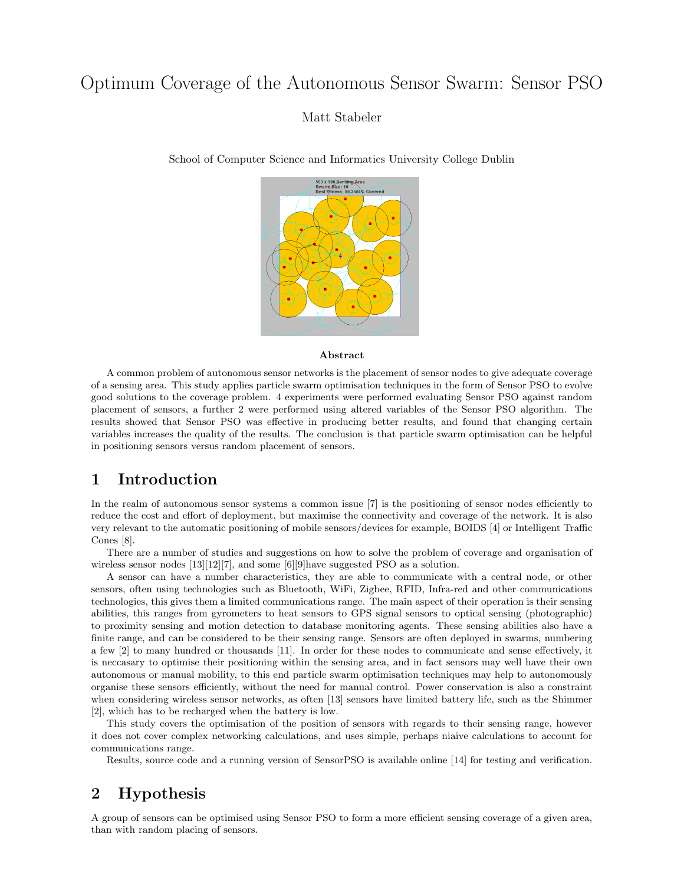# Optimum Coverage of the Autonomous Sensor Swarm: Sensor PSO

Matt Stabeler

School of Computer Science and Informatics University College Dublin



#### Abstract

A common problem of autonomous sensor networks is the placement of sensor nodes to give adequate coverage of a sensing area. This study applies particle swarm optimisation techniques in the form of Sensor PSO to evolve good solutions to the coverage problem. 4 experiments were performed evaluating Sensor PSO against random placement of sensors, a further 2 were performed using altered variables of the Sensor PSO algorithm. The results showed that Sensor PSO was effective in producing better results, and found that changing certain variables increases the quality of the results. The conclusion is that particle swarm optimisation can be helpful in positioning sensors versus random placement of sensors.

### 1 Introduction

In the realm of autonomous sensor systems a common issue [7] is the positioning of sensor nodes efficiently to reduce the cost and effort of deployment, but maximise the connectivity and coverage of the network. It is also very relevant to the automatic positioning of mobile sensors/devices for example, BOIDS [4] or Intelligent Traffic Cones [8].

There are a number of studies and suggestions on how to solve the problem of coverage and organisation of wireless sensor nodes [13][12][7], and some [6][9]have suggested PSO as a solution.

A sensor can have a number characteristics, they are able to communicate with a central node, or other sensors, often using technologies such as Bluetooth, WiFi, Zigbee, RFID, Infra-red and other communications technologies, this gives them a limited communications range. The main aspect of their operation is their sensing abilities, this ranges from gyrometers to heat sensors to GPS signal sensors to optical sensing (photographic) to proximity sensing and motion detection to database monitoring agents. These sensing abilities also have a finite range, and can be considered to be their sensing range. Sensors are often deployed in swarms, numbering a few [2] to many hundred or thousands [11]. In order for these nodes to communicate and sense effectively, it is neccasary to optimise their positioning within the sensing area, and in fact sensors may well have their own autonomous or manual mobility, to this end particle swarm optimisation techniques may help to autonomously organise these sensors efficiently, without the need for manual control. Power conservation is also a constraint when considering wireless sensor networks, as often [13] sensors have limited battery life, such as the Shimmer [2], which has to be recharged when the battery is low.

This study covers the optimisation of the position of sensors with regards to their sensing range, however it does not cover complex networking calculations, and uses simple, perhaps niaive calculations to account for communications range.

Results, source code and a running version of SensorPSO is available online [14] for testing and verification.

## 2 Hypothesis

A group of sensors can be optimised using Sensor PSO to form a more efficient sensing coverage of a given area, than with random placing of sensors.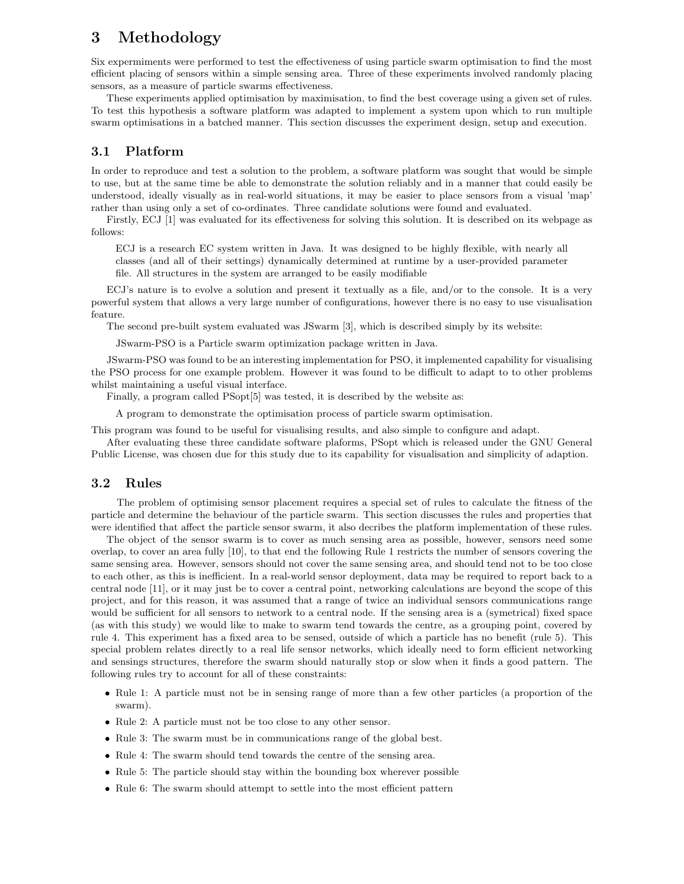## 3 Methodology

Six expermiments were performed to test the effectiveness of using particle swarm optimisation to find the most efficient placing of sensors within a simple sensing area. Three of these experiments involved randomly placing sensors, as a measure of particle swarms effectiveness.

These experiments applied optimisation by maximisation, to find the best coverage using a given set of rules. To test this hypothesis a software platform was adapted to implement a system upon which to run multiple swarm optimisations in a batched manner. This section discusses the experiment design, setup and execution.

#### 3.1 Platform

In order to reproduce and test a solution to the problem, a software platform was sought that would be simple to use, but at the same time be able to demonstrate the solution reliably and in a manner that could easily be understood, ideally visually as in real-world situations, it may be easier to place sensors from a visual 'map' rather than using only a set of co-ordinates. Three candidate solutions were found and evaluated.

Firstly, ECJ [1] was evaluated for its effectiveness for solving this solution. It is described on its webpage as follows:

ECJ is a research EC system written in Java. It was designed to be highly flexible, with nearly all classes (and all of their settings) dynamically determined at runtime by a user-provided parameter file. All structures in the system are arranged to be easily modifiable

ECJ's nature is to evolve a solution and present it textually as a file, and/or to the console. It is a very powerful system that allows a very large number of configurations, however there is no easy to use visualisation feature.

The second pre-built system evaluated was JSwarm [3], which is described simply by its website:

JSwarm-PSO is a Particle swarm optimization package written in Java.

JSwarm-PSO was found to be an interesting implementation for PSO, it implemented capability for visualising the PSO process for one example problem. However it was found to be difficult to adapt to to other problems whilst maintaining a useful visual interface.

Finally, a program called PSopt<sup>[5]</sup> was tested, it is described by the website as:

A program to demonstrate the optimisation process of particle swarm optimisation.

This program was found to be useful for visualising results, and also simple to configure and adapt.

After evaluating these three candidate software plaforms, PSopt which is released under the GNU General Public License, was chosen due for this study due to its capability for visualisation and simplicity of adaption.

#### 3.2 Rules

The problem of optimising sensor placement requires a special set of rules to calculate the fitness of the particle and determine the behaviour of the particle swarm. This section discusses the rules and properties that were identified that affect the particle sensor swarm, it also decribes the platform implementation of these rules.

The object of the sensor swarm is to cover as much sensing area as possible, however, sensors need some overlap, to cover an area fully [10], to that end the following Rule 1 restricts the number of sensors covering the same sensing area. However, sensors should not cover the same sensing area, and should tend not to be too close to each other, as this is inefficient. In a real-world sensor deployment, data may be required to report back to a central node [11], or it may just be to cover a central point, networking calculations are beyond the scope of this project, and for this reason, it was assumed that a range of twice an individual sensors communications range would be sufficient for all sensors to network to a central node. If the sensing area is a (symetrical) fixed space (as with this study) we would like to make to swarm tend towards the centre, as a grouping point, covered by rule 4. This experiment has a fixed area to be sensed, outside of which a particle has no benefit (rule 5). This special problem relates directly to a real life sensor networks, which ideally need to form efficient networking and sensings structures, therefore the swarm should naturally stop or slow when it finds a good pattern. The following rules try to account for all of these constraints:

- Rule 1: A particle must not be in sensing range of more than a few other particles (a proportion of the swarm).
- Rule 2: A particle must not be too close to any other sensor.
- Rule 3: The swarm must be in communications range of the global best.
- Rule 4: The swarm should tend towards the centre of the sensing area.
- Rule 5: The particle should stay within the bounding box wherever possible
- Rule 6: The swarm should attempt to settle into the most efficient pattern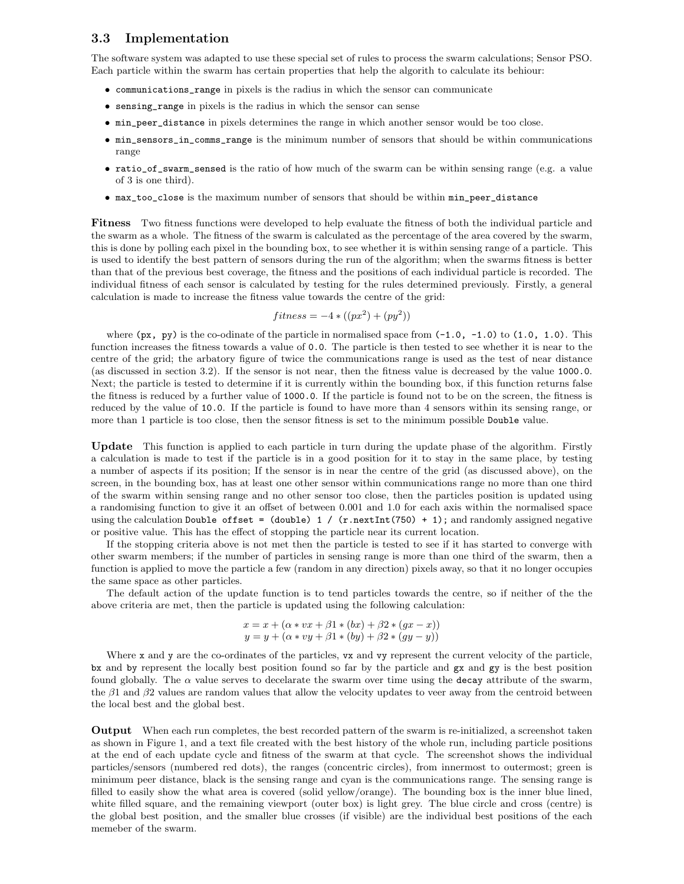### 3.3 Implementation

The software system was adapted to use these special set of rules to process the swarm calculations; Sensor PSO. Each particle within the swarm has certain properties that help the algorith to calculate its behiour:

- communications\_range in pixels is the radius in which the sensor can communicate
- sensing\_range in pixels is the radius in which the sensor can sense
- min\_peer\_distance in pixels determines the range in which another sensor would be too close.
- min\_sensors\_in\_comms\_range is the minimum number of sensors that should be within communications range
- ratio\_of\_swarm\_sensed is the ratio of how much of the swarm can be within sensing range (e.g. a value of 3 is one third).
- max\_too\_close is the maximum number of sensors that should be within min\_peer\_distance

Fitness Two fitness functions were developed to help evaluate the fitness of both the individual particle and the swarm as a whole. The fitness of the swarm is calculated as the percentage of the area covered by the swarm, this is done by polling each pixel in the bounding box, to see whether it is within sensing range of a particle. This is used to identify the best pattern of sensors during the run of the algorithm; when the swarms fitness is better than that of the previous best coverage, the fitness and the positions of each individual particle is recorded. The individual fitness of each sensor is calculated by testing for the rules determined previously. Firstly, a general calculation is made to increase the fitness value towards the centre of the grid:

$$
fitness = -4 * ((px2) + (py2))
$$

where  $(px, py)$  is the co-odinate of the particle in normalised space from  $(-1.0, -1.0)$  to  $(1.0, 1.0)$ . This function increases the fitness towards a value of 0.0. The particle is then tested to see whether it is near to the centre of the grid; the arbatory figure of twice the communications range is used as the test of near distance (as discussed in section 3.2). If the sensor is not near, then the fitness value is decreased by the value 1000.0. Next; the particle is tested to determine if it is currently within the bounding box, if this function returns false the fitness is reduced by a further value of 1000.0. If the particle is found not to be on the screen, the fitness is reduced by the value of 10.0. If the particle is found to have more than 4 sensors within its sensing range, or more than 1 particle is too close, then the sensor fitness is set to the minimum possible Double value.

Update This function is applied to each particle in turn during the update phase of the algorithm. Firstly a calculation is made to test if the particle is in a good position for it to stay in the same place, by testing a number of aspects if its position; If the sensor is in near the centre of the grid (as discussed above), on the screen, in the bounding box, has at least one other sensor within communications range no more than one third of the swarm within sensing range and no other sensor too close, then the particles position is updated using a randomising function to give it an offset of between 0.001 and 1.0 for each axis within the normalised space using the calculation Double offset =  $(double) 1 / (r.nextInt(750) + 1)$ ; and randomly assigned negative or positive value. This has the effect of stopping the particle near its current location.

If the stopping criteria above is not met then the particle is tested to see if it has started to converge with other swarm members; if the number of particles in sensing range is more than one third of the swarm, then a function is applied to move the particle a few (random in any direction) pixels away, so that it no longer occupies the same space as other particles.

The default action of the update function is to tend particles towards the centre, so if neither of the the above criteria are met, then the particle is updated using the following calculation:

$$
x = x + (\alpha * vx + \beta 1 * (bx) + \beta 2 * (gx - x))
$$
  

$$
y = y + (\alpha * vy + \beta 1 * (by) + \beta 2 * (gy - y))
$$

Where x and y are the co-ordinates of the particles, vx and vy represent the current velocity of the particle, bx and by represent the locally best position found so far by the particle and gx and gy is the best position found globally. The  $\alpha$  value serves to decelarate the swarm over time using the **decay** attribute of the swarm, the  $\beta$ 1 and  $\beta$ 2 values are random values that allow the velocity updates to veer away from the centroid between the local best and the global best.

Output When each run completes, the best recorded pattern of the swarm is re-initialized, a screenshot taken as shown in Figure 1, and a text file created with the best history of the whole run, including particle positions at the end of each update cycle and fitness of the swarm at that cycle. The screenshot shows the individual particles/sensors (numbered red dots), the ranges (concentric circles), from innermost to outermost; green is minimum peer distance, black is the sensing range and cyan is the communications range. The sensing range is filled to easily show the what area is covered (solid yellow/orange). The bounding box is the inner blue lined, white filled square, and the remaining viewport (outer box) is light grey. The blue circle and cross (centre) is the global best position, and the smaller blue crosses (if visible) are the individual best positions of the each memeber of the swarm.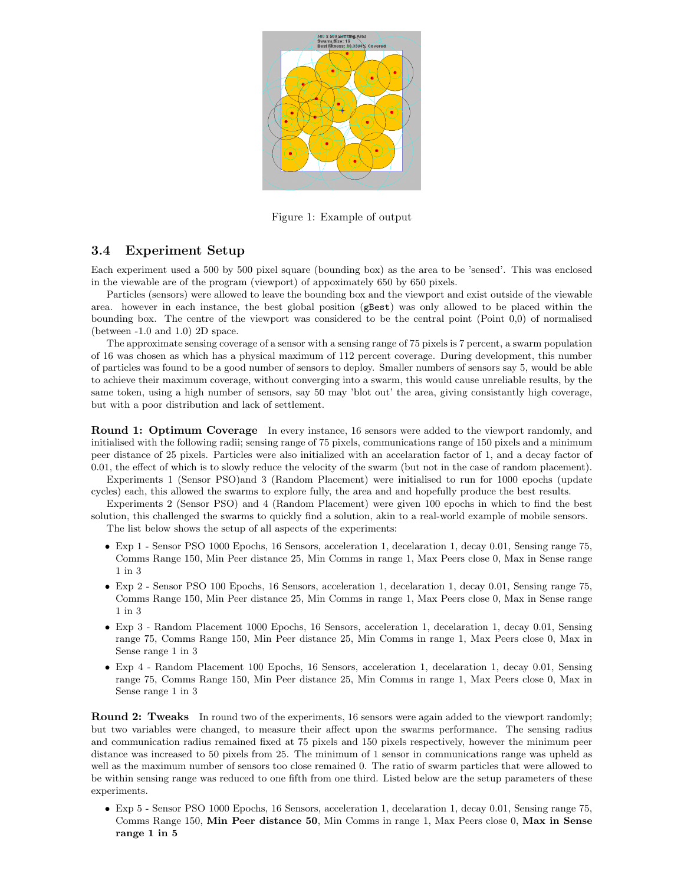

Figure 1: Example of output

#### 3.4 Experiment Setup

Each experiment used a 500 by 500 pixel square (bounding box) as the area to be 'sensed'. This was enclosed in the viewable are of the program (viewport) of appoximately 650 by 650 pixels.

Particles (sensors) were allowed to leave the bounding box and the viewport and exist outside of the viewable area. however in each instance, the best global position (gBest) was only allowed to be placed within the bounding box. The centre of the viewport was considered to be the central point (Point 0,0) of normalised (between -1.0 and 1.0) 2D space.

The approximate sensing coverage of a sensor with a sensing range of 75 pixels is 7 percent, a swarm population of 16 was chosen as which has a physical maximum of 112 percent coverage. During development, this number of particles was found to be a good number of sensors to deploy. Smaller numbers of sensors say 5, would be able to achieve their maximum coverage, without converging into a swarm, this would cause unreliable results, by the same token, using a high number of sensors, say 50 may 'blot out' the area, giving consistantly high coverage, but with a poor distribution and lack of settlement.

**Round 1: Optimum Coverage** In every instance, 16 sensors were added to the viewport randomly, and initialised with the following radii; sensing range of 75 pixels, communications range of 150 pixels and a minimum peer distance of 25 pixels. Particles were also initialized with an accelaration factor of 1, and a decay factor of 0.01, the effect of which is to slowly reduce the velocity of the swarm (but not in the case of random placement).

Experiments 1 (Sensor PSO)and 3 (Random Placement) were initialised to run for 1000 epochs (update cycles) each, this allowed the swarms to explore fully, the area and and hopefully produce the best results.

Experiments 2 (Sensor PSO) and 4 (Random Placement) were given 100 epochs in which to find the best solution, this challenged the swarms to quickly find a solution, akin to a real-world example of mobile sensors.

The list below shows the setup of all aspects of the experiments:

- Exp 1 Sensor PSO 1000 Epochs, 16 Sensors, acceleration 1, decelaration 1, decay 0.01, Sensing range 75, Comms Range 150, Min Peer distance 25, Min Comms in range 1, Max Peers close 0, Max in Sense range 1 in 3
- Exp 2 Sensor PSO 100 Epochs, 16 Sensors, acceleration 1, decelaration 1, decay 0.01, Sensing range 75, Comms Range 150, Min Peer distance 25, Min Comms in range 1, Max Peers close 0, Max in Sense range 1 in 3
- Exp 3 Random Placement 1000 Epochs, 16 Sensors, acceleration 1, decelaration 1, decay 0.01, Sensing range 75, Comms Range 150, Min Peer distance 25, Min Comms in range 1, Max Peers close 0, Max in Sense range 1 in 3
- Exp 4 Random Placement 100 Epochs, 16 Sensors, acceleration 1, decelaration 1, decay 0.01, Sensing range 75, Comms Range 150, Min Peer distance 25, Min Comms in range 1, Max Peers close 0, Max in Sense range 1 in 3

**Round 2: Tweaks** In round two of the experiments, 16 sensors were again added to the viewport randomly; but two variables were changed, to measure their affect upon the swarms performance. The sensing radius and communication radius remained fixed at 75 pixels and 150 pixels respectively, however the minimum peer distance was increased to 50 pixels from 25. The minimum of 1 sensor in communications range was upheld as well as the maximum number of sensors too close remained 0. The ratio of swarm particles that were allowed to be within sensing range was reduced to one fifth from one third. Listed below are the setup parameters of these experiments.

• Exp 5 - Sensor PSO 1000 Epochs, 16 Sensors, acceleration 1, decelaration 1, decay 0.01, Sensing range 75, Comms Range 150, Min Peer distance 50, Min Comms in range 1, Max Peers close 0, Max in Sense range 1 in 5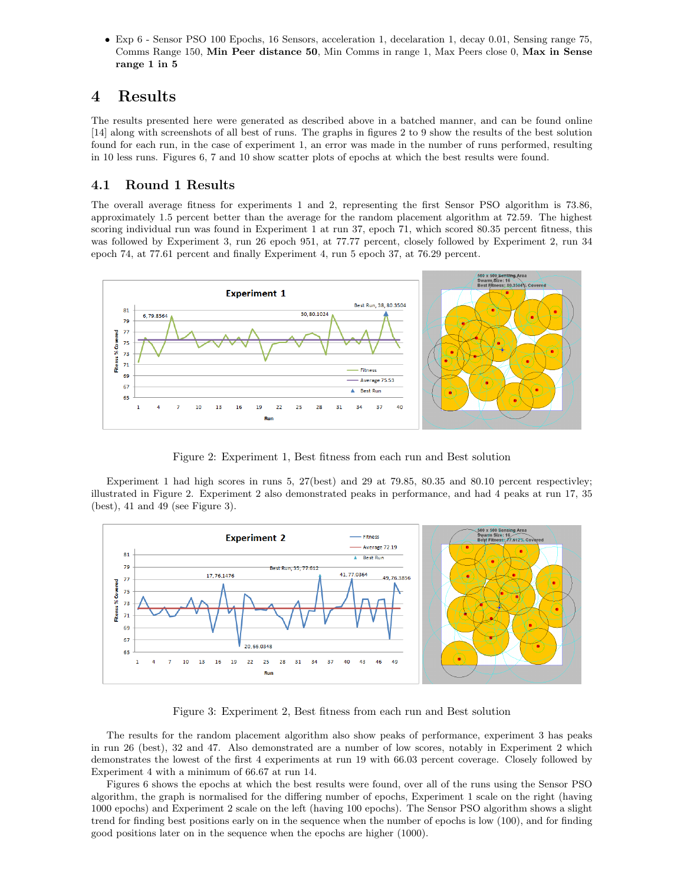• Exp 6 - Sensor PSO 100 Epochs, 16 Sensors, acceleration 1, decelaration 1, decay 0.01, Sensing range 75, Comms Range 150, Min Peer distance 50, Min Comms in range 1, Max Peers close 0, Max in Sense range 1 in 5

## 4 Results

The results presented here were generated as described above in a batched manner, and can be found online [14] along with screenshots of all best of runs. The graphs in figures 2 to 9 show the results of the best solution found for each run, in the case of experiment 1, an error was made in the number of runs performed, resulting in 10 less runs. Figures 6, 7 and 10 show scatter plots of epochs at which the best results were found.

### 4.1 Round 1 Results

The overall average fitness for experiments 1 and 2, representing the first Sensor PSO algorithm is 73.86, approximately 1.5 percent better than the average for the random placement algorithm at 72.59. The highest scoring individual run was found in Experiment 1 at run 37, epoch 71, which scored 80.35 percent fitness, this was followed by Experiment 3, run 26 epoch 951, at 77.77 percent, closely followed by Experiment 2, run 34 epoch 74, at 77.61 percent and finally Experiment 4, run 5 epoch 37, at 76.29 percent.



Figure 2: Experiment 1, Best fitness from each run and Best solution

Experiment 1 had high scores in runs 5, 27(best) and 29 at 79.85, 80.35 and 80.10 percent respectivley; illustrated in Figure 2. Experiment 2 also demonstrated peaks in performance, and had 4 peaks at run 17, 35  $(best)$ , 41 and 49 (see Figure 3).



Figure 3: Experiment 2, Best fitness from each run and Best solution

The results for the random placement algorithm also show peaks of performance, experiment 3 has peaks in run 26 (best), 32 and 47. Also demonstrated are a number of low scores, notably in Experiment 2 which demonstrates the lowest of the first 4 experiments at run 19 with 66.03 percent coverage. Closely followed by Experiment 4 with a minimum of 66.67 at run 14.

Figures 6 shows the epochs at which the best results were found, over all of the runs using the Sensor PSO algorithm, the graph is normalised for the differing number of epochs, Experiment 1 scale on the right (having 1000 epochs) and Experiment 2 scale on the left (having 100 epochs). The Sensor PSO algorithm shows a slight trend for finding best positions early on in the sequence when the number of epochs is low (100), and for finding good positions later on in the sequence when the epochs are higher (1000).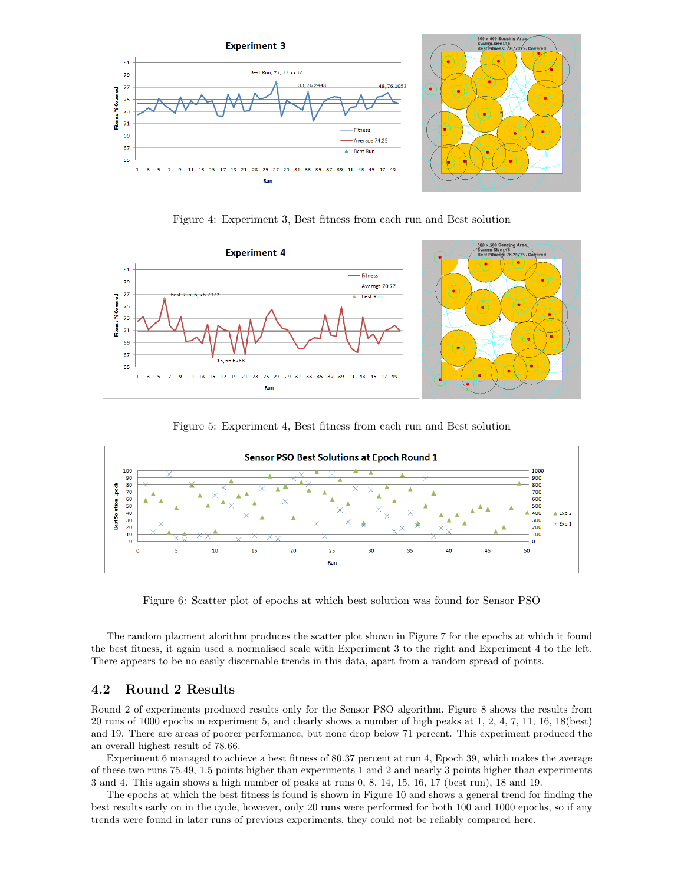

Figure 4: Experiment 3, Best fitness from each run and Best solution



Figure 5: Experiment 4, Best fitness from each run and Best solution



Figure 6: Scatter plot of epochs at which best solution was found for Sensor PSO

The random placment alorithm produces the scatter plot shown in Figure 7 for the epochs at which it found the best fitness, it again used a normalised scale with Experiment 3 to the right and Experiment 4 to the left. There appears to be no easily discernable trends in this data, apart from a random spread of points.

### 4.2 Round 2 Results

Round 2 of experiments produced results only for the Sensor PSO algorithm, Figure 8 shows the results from 20 runs of 1000 epochs in experiment 5, and clearly shows a number of high peaks at 1, 2, 4, 7, 11, 16, 18(best) and 19. There are areas of poorer performance, but none drop below 71 percent. This experiment produced the an overall highest result of 78.66.

Experiment 6 managed to achieve a best fitness of 80.37 percent at run 4, Epoch 39, which makes the average of these two runs 75.49, 1.5 points higher than experiments 1 and 2 and nearly 3 points higher than experiments 3 and 4. This again shows a high number of peaks at runs 0, 8, 14, 15, 16, 17 (best run), 18 and 19.

The epochs at which the best fitness is found is shown in Figure 10 and shows a general trend for finding the best results early on in the cycle, however, only 20 runs were performed for both 100 and 1000 epochs, so if any trends were found in later runs of previous experiments, they could not be reliably compared here.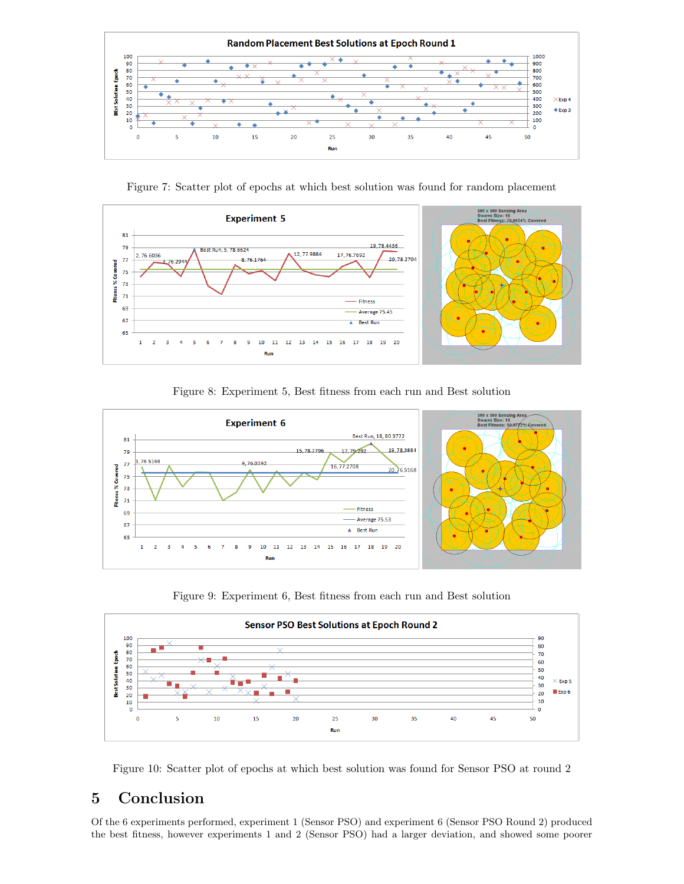

Figure 7: Scatter plot of epochs at which best solution was found for random placement



Figure 8: Experiment 5, Best fitness from each run and Best solution



Figure 9: Experiment 6, Best fitness from each run and Best solution



Figure 10: Scatter plot of epochs at which best solution was found for Sensor PSO at round 2

# 5 Conclusion

Of the 6 experiments performed, experiment 1 (Sensor PSO) and experiment 6 (Sensor PSO Round 2) produced the best fitness, however experiments 1 and 2 (Sensor PSO) had a larger deviation, and showed some poorer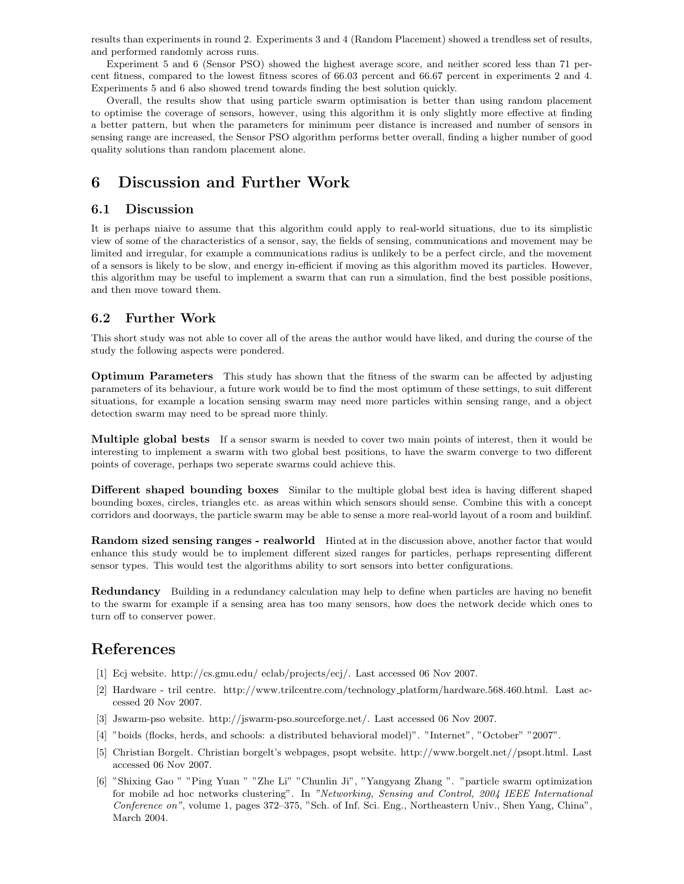results than experiments in round 2. Experiments 3 and 4 (Random Placement) showed a trendless set of results, and performed randomly across runs.

Experiment 5 and 6 (Sensor PSO) showed the highest average score, and neither scored less than 71 percent fitness, compared to the lowest fitness scores of 66.03 percent and 66.67 percent in experiments 2 and 4. Experiments 5 and 6 also showed trend towards finding the best solution quickly.

Overall, the results show that using particle swarm optimisation is better than using random placement to optimise the coverage of sensors, however, using this algorithm it is only slightly more effective at finding a better pattern, but when the parameters for minimum peer distance is increased and number of sensors in sensing range are increased, the Sensor PSO algorithm performs better overall, finding a higher number of good quality solutions than random placement alone.

## 6 Discussion and Further Work

#### 6.1 Discussion

It is perhaps niaive to assume that this algorithm could apply to real-world situations, due to its simplistic view of some of the characteristics of a sensor, say, the fields of sensing, communications and movement may be limited and irregular, for example a communications radius is unlikely to be a perfect circle, and the movement of a sensors is likely to be slow, and energy in-efficient if moving as this algorithm moved its particles. However, this algorithm may be useful to implement a swarm that can run a simulation, find the best possible positions, and then move toward them.

### 6.2 Further Work

This short study was not able to cover all of the areas the author would have liked, and during the course of the study the following aspects were pondered.

**Optimum Parameters** This study has shown that the fitness of the swarm can be affected by adjusting parameters of its behaviour, a future work would be to find the most optimum of these settings, to suit different situations, for example a location sensing swarm may need more particles within sensing range, and a object detection swarm may need to be spread more thinly.

Multiple global bests If a sensor swarm is needed to cover two main points of interest, then it would be interesting to implement a swarm with two global best positions, to have the swarm converge to two different points of coverage, perhaps two seperate swarms could achieve this.

**Different shaped bounding boxes** Similar to the multiple global best idea is having different shaped bounding boxes, circles, triangles etc. as areas within which sensors should sense. Combine this with a concept corridors and doorways, the particle swarm may be able to sense a more real-world layout of a room and buildinf.

Random sized sensing ranges - realworld Hinted at in the discussion above, another factor that would enhance this study would be to implement different sized ranges for particles, perhaps representing different sensor types. This would test the algorithms ability to sort sensors into better configurations.

**Redundancy** Building in a redundancy calculation may help to define when particles are having no benefit to the swarm for example if a sensing area has too many sensors, how does the network decide which ones to turn off to conserver power.

## References

- [1] Ecj website. http://cs.gmu.edu/ eclab/projects/ecj/. Last accessed 06 Nov 2007.
- [2] Hardware tril centre. http://www.trilcentre.com/technology platform/hardware.568.460.html. Last accessed 20 Nov 2007.
- [3] Jswarm-pso website. http://jswarm-pso.sourceforge.net/. Last accessed 06 Nov 2007.
- [4] "boids (flocks, herds, and schools: a distributed behavioral model)". "Internet", "October" "2007".
- [5] Christian Borgelt. Christian borgelt's webpages, psopt website. http://www.borgelt.net//psopt.html. Last accessed 06 Nov 2007.
- [6] "Shixing Gao " "Ping Yuan " "Zhe Li" "Chunlin Ji", "Yangyang Zhang ". "particle swarm optimization for mobile ad hoc networks clustering". In "Networking, Sensing and Control, 2004 IEEE International Conference on", volume 1, pages 372–375, "Sch. of Inf. Sci. Eng., Northeastern Univ., Shen Yang, China", March 2004.